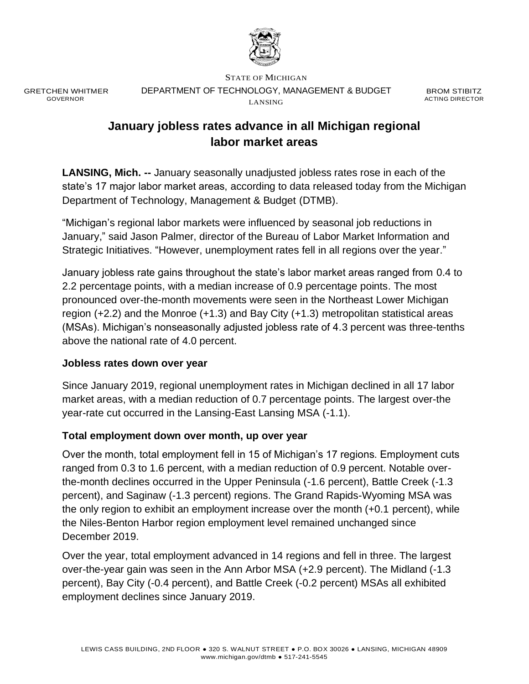

GRETCHEN WHITMER GOVERNOR

STATE OF MICHIGAN DEPARTMENT OF TECHNOLOGY, MANAGEMENT & BUDGET LANSING

BROM STIBITZ ACTING DIRECTOR

# **January jobless rates advance in all Michigan regional labor market areas**

**LANSING, Mich. --** January seasonally unadjusted jobless rates rose in each of the state's 17 major labor market areas, according to data released today from the Michigan Department of Technology, Management & Budget (DTMB).

"Michigan's regional labor markets were influenced by seasonal job reductions in January," said Jason Palmer, director of the Bureau of Labor Market Information and Strategic Initiatives. "However, unemployment rates fell in all regions over the year."

January jobless rate gains throughout the state's labor market areas ranged from 0.4 to 2.2 percentage points, with a median increase of 0.9 percentage points. The most pronounced over-the-month movements were seen in the Northeast Lower Michigan region (+2.2) and the Monroe (+1.3) and Bay City (+1.3) metropolitan statistical areas (MSAs). Michigan's nonseasonally adjusted jobless rate of 4.3 percent was three-tenths above the national rate of 4.0 percent.

#### **Jobless rates down over year**

Since January 2019, regional unemployment rates in Michigan declined in all 17 labor market areas, with a median reduction of 0.7 percentage points. The largest over-the year-rate cut occurred in the Lansing-East Lansing MSA (-1.1).

#### **Total employment down over month, up over year**

Over the month, total employment fell in 15 of Michigan's 17 regions. Employment cuts ranged from 0.3 to 1.6 percent, with a median reduction of 0.9 percent. Notable overthe-month declines occurred in the Upper Peninsula (-1.6 percent), Battle Creek (-1.3 percent), and Saginaw (-1.3 percent) regions. The Grand Rapids-Wyoming MSA was the only region to exhibit an employment increase over the month (+0.1 percent), while the Niles-Benton Harbor region employment level remained unchanged since December 2019.

Over the year, total employment advanced in 14 regions and fell in three. The largest over-the-year gain was seen in the Ann Arbor MSA (+2.9 percent). The Midland (-1.3 percent), Bay City (-0.4 percent), and Battle Creek (-0.2 percent) MSAs all exhibited employment declines since January 2019.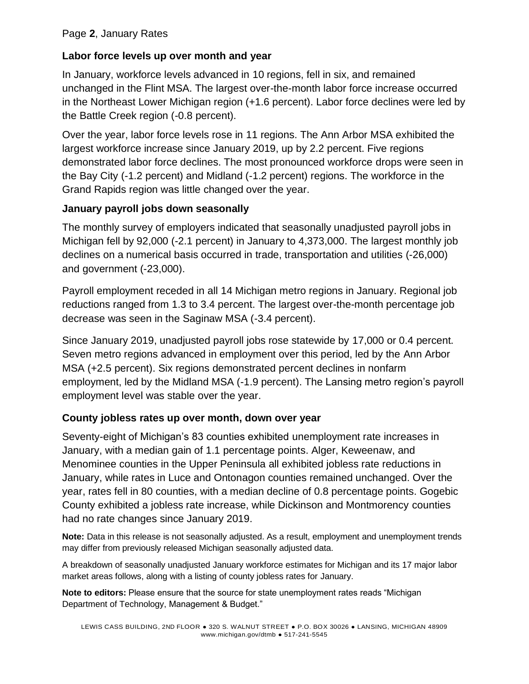## **Labor force levels up over month and year**

In January, workforce levels advanced in 10 regions, fell in six, and remained unchanged in the Flint MSA. The largest over-the-month labor force increase occurred in the Northeast Lower Michigan region (+1.6 percent). Labor force declines were led by the Battle Creek region (-0.8 percent).

Over the year, labor force levels rose in 11 regions. The Ann Arbor MSA exhibited the largest workforce increase since January 2019, up by 2.2 percent. Five regions demonstrated labor force declines. The most pronounced workforce drops were seen in the Bay City (-1.2 percent) and Midland (-1.2 percent) regions. The workforce in the Grand Rapids region was little changed over the year.

### **January payroll jobs down seasonally**

The monthly survey of employers indicated that seasonally unadjusted payroll jobs in Michigan fell by 92,000 (-2.1 percent) in January to 4,373,000. The largest monthly job declines on a numerical basis occurred in trade, transportation and utilities (-26,000) and government (-23,000).

Payroll employment receded in all 14 Michigan metro regions in January. Regional job reductions ranged from 1.3 to 3.4 percent. The largest over-the-month percentage job decrease was seen in the Saginaw MSA (-3.4 percent).

Since January 2019, unadjusted payroll jobs rose statewide by 17,000 or 0.4 percent. Seven metro regions advanced in employment over this period, led by the Ann Arbor MSA (+2.5 percent). Six regions demonstrated percent declines in nonfarm employment, led by the Midland MSA (-1.9 percent). The Lansing metro region's payroll employment level was stable over the year.

# **County jobless rates up over month, down over year**

Seventy-eight of Michigan's 83 counties exhibited unemployment rate increases in January, with a median gain of 1.1 percentage points. Alger, Keweenaw, and Menominee counties in the Upper Peninsula all exhibited jobless rate reductions in January, while rates in Luce and Ontonagon counties remained unchanged. Over the year, rates fell in 80 counties, with a median decline of 0.8 percentage points. Gogebic County exhibited a jobless rate increase, while Dickinson and Montmorency counties had no rate changes since January 2019.

**Note:** Data in this release is not seasonally adjusted. As a result, employment and unemployment trends may differ from previously released Michigan seasonally adjusted data.

A breakdown of seasonally unadjusted January workforce estimates for Michigan and its 17 major labor market areas follows, along with a listing of county jobless rates for January.

**Note to editors:** Please ensure that the source for state unemployment rates reads "Michigan Department of Technology, Management & Budget."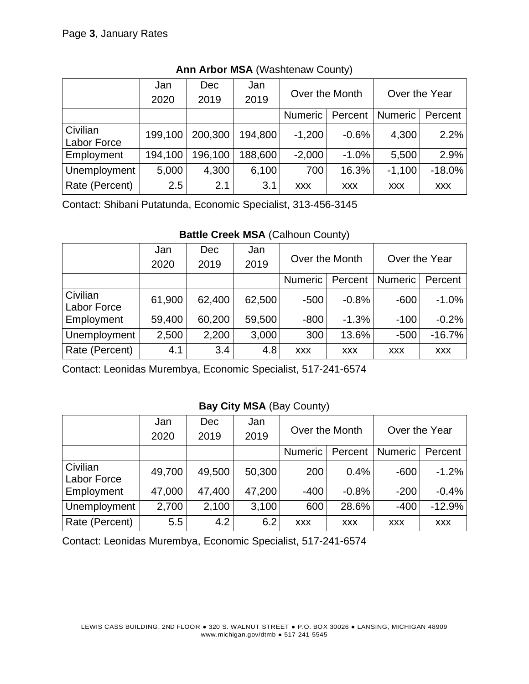|                | Jan     | <b>Dec</b> | Jan     | Over the Month |            | Over the Year  |            |  |
|----------------|---------|------------|---------|----------------|------------|----------------|------------|--|
|                | 2020    | 2019       | 2019    |                |            |                |            |  |
|                |         |            |         | <b>Numeric</b> | Percent    | <b>Numeric</b> | Percent    |  |
| Civilian       | 199,100 | 200,300    | 194,800 | $-1,200$       | $-0.6%$    | 4,300          | 2.2%       |  |
| Labor Force    |         |            |         |                |            |                |            |  |
| Employment     | 194,100 | 196,100    | 188,600 | $-2,000$       | $-1.0%$    | 5,500          | 2.9%       |  |
| Unemployment   | 5,000   | 4,300      | 6,100   | 700            | 16.3%      | $-1,100$       | $-18.0%$   |  |
| Rate (Percent) | 2.5     | 2.1        | 3.1     | <b>XXX</b>     | <b>XXX</b> | <b>XXX</b>     | <b>XXX</b> |  |

**Ann Arbor MSA** (Washtenaw County)

Contact: Shibani Putatunda, Economic Specialist, 313-456-3145

|                    | Jan    | <b>Dec</b> | Jan    | Over the Month |            | Over the Year  |            |  |
|--------------------|--------|------------|--------|----------------|------------|----------------|------------|--|
|                    | 2020   | 2019       | 2019   |                |            |                |            |  |
|                    |        |            |        | <b>Numeric</b> | Percent    | <b>Numeric</b> | Percent    |  |
| Civilian           | 61,900 | 62,400     | 62,500 | $-500$         | $-0.8%$    | $-600$         | $-1.0%$    |  |
| <b>Labor Force</b> |        |            |        |                |            |                |            |  |
| Employment         | 59,400 | 60,200     | 59,500 | $-800$         | $-1.3%$    | $-100$         | $-0.2%$    |  |
| Unemployment       | 2,500  | 2,200      | 3,000  | 300            | 13.6%      | $-500$         | $-16.7%$   |  |
| Rate (Percent)     | 4.1    | 3.4        | 4.8    | <b>XXX</b>     | <b>XXX</b> | <b>XXX</b>     | <b>XXX</b> |  |

Contact: Leonidas Murembya, Economic Specialist, 517-241-6574

# **Bay City MSA** (Bay County)

|                                | Jan    | <b>Dec</b> | Jan    | Over the Month |            | Over the Year  |            |
|--------------------------------|--------|------------|--------|----------------|------------|----------------|------------|
|                                | 2020   | 2019       | 2019   |                |            |                |            |
|                                |        |            |        | <b>Numeric</b> | Percent    | <b>Numeric</b> | Percent    |
| Civilian<br><b>Labor Force</b> | 49,700 | 49,500     | 50,300 | 200            | 0.4%       | $-600$         | $-1.2%$    |
| Employment                     | 47,000 | 47,400     | 47,200 | $-400$         | $-0.8%$    | $-200$         | $-0.4%$    |
| Unemployment                   | 2,700  | 2,100      | 3,100  | 600            | 28.6%      | $-400$         | $-12.9%$   |
| Rate (Percent)                 | 5.5    | 4.2        | 6.2    | <b>XXX</b>     | <b>XXX</b> | <b>XXX</b>     | <b>XXX</b> |

Contact: Leonidas Murembya, Economic Specialist, 517-241-6574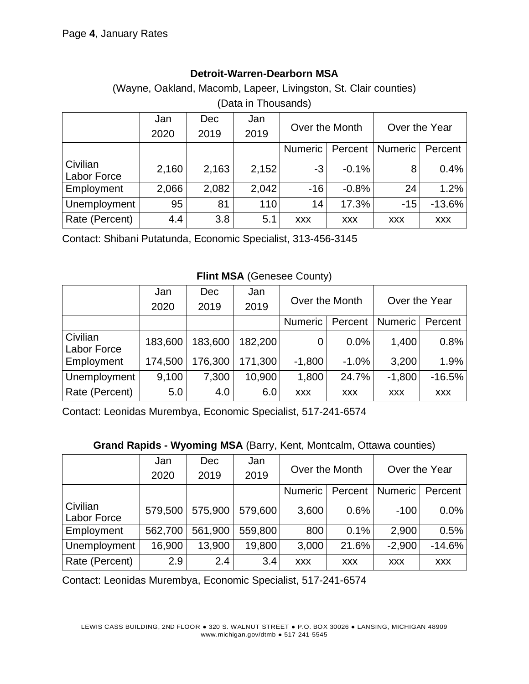### **Detroit-Warren-Dearborn MSA**

(Wayne, Oakland, Macomb, Lapeer, Livingston, St. Clair counties) (Data in Thousands)

|                                | Jan   | <b>Dec</b> | Jan   | Over the Month |            | Over the Year  |            |
|--------------------------------|-------|------------|-------|----------------|------------|----------------|------------|
|                                | 2020  | 2019       | 2019  |                |            |                |            |
|                                |       |            |       | <b>Numeric</b> | Percent    | <b>Numeric</b> | Percent    |
| Civilian<br><b>Labor Force</b> | 2,160 | 2,163      | 2,152 | $-3$           | $-0.1%$    | 8              | 0.4%       |
| Employment                     | 2,066 | 2,082      | 2,042 | $-16$          | $-0.8%$    | 24             | 1.2%       |
| Unemployment                   | 95    | 81         | 110   | 14             | 17.3%      | $-15$          | $-13.6%$   |
| Rate (Percent)                 | 4.4   | 3.8        | 5.1   | <b>XXX</b>     | <b>XXX</b> | <b>XXX</b>     | <b>XXX</b> |

Contact: Shibani Putatunda, Economic Specialist, 313-456-3145

**Flint MSA** (Genesee County)

|                         | Jan     | <b>Dec</b> | Jan     | Over the Month |            | Over the Year  |            |
|-------------------------|---------|------------|---------|----------------|------------|----------------|------------|
|                         | 2020    | 2019       | 2019    |                |            |                |            |
|                         |         |            |         | <b>Numeric</b> | Percent    | <b>Numeric</b> | Percent    |
| Civilian<br>Labor Force | 183,600 | 183,600    | 182,200 | 0              | 0.0%       | 1,400          | 0.8%       |
| Employment              | 174,500 | 176,300    | 171,300 | $-1,800$       | $-1.0%$    | 3,200          | 1.9%       |
| Unemployment            | 9,100   | 7,300      | 10,900  | 1,800          | 24.7%      | $-1,800$       | $-16.5%$   |
| Rate (Percent)          | 5.0     | 4.0        | 6.0     | <b>XXX</b>     | <b>XXX</b> | <b>XXX</b>     | <b>XXX</b> |

Contact: Leonidas Murembya, Economic Specialist, 517-241-6574

**Grand Rapids - Wyoming MSA** (Barry, Kent, Montcalm, Ottawa counties)

|                    | Jan     | <b>Dec</b> | Jan     | Over the Month |            | Over the Year  |            |
|--------------------|---------|------------|---------|----------------|------------|----------------|------------|
|                    | 2020    | 2019       | 2019    |                |            |                |            |
|                    |         |            |         | <b>Numeric</b> | Percent    | <b>Numeric</b> | Percent    |
| Civilian           | 579,500 | 575,900    | 579,600 | 3,600          | 0.6%       | $-100$         | 0.0%       |
| <b>Labor Force</b> |         |            |         |                |            |                |            |
| Employment         | 562,700 | 561,900    | 559,800 | 800            | 0.1%       | 2,900          | 0.5%       |
| Unemployment       | 16,900  | 13,900     | 19,800  | 3,000          | 21.6%      | $-2,900$       | $-14.6%$   |
| Rate (Percent)     | 2.9     | 2.4        | 3.4     | <b>XXX</b>     | <b>XXX</b> | <b>XXX</b>     | <b>XXX</b> |

Contact: Leonidas Murembya, Economic Specialist, 517-241-6574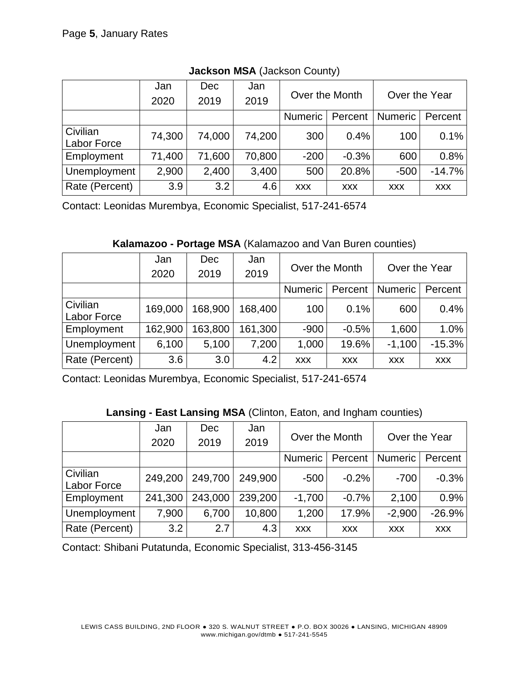|                         | Jan    | <b>Dec</b> | Jan    | Over the Month |            | Over the Year  |            |
|-------------------------|--------|------------|--------|----------------|------------|----------------|------------|
|                         | 2020   | 2019       | 2019   |                |            |                |            |
|                         |        |            |        | <b>Numeric</b> | Percent    | <b>Numeric</b> | Percent    |
| Civilian<br>Labor Force | 74,300 | 74,000     | 74,200 | 300            | 0.4%       | 100            | 0.1%       |
| Employment              | 71,400 | 71,600     | 70,800 | $-200$         | $-0.3%$    | 600            | 0.8%       |
| Unemployment            | 2,900  | 2,400      | 3,400  | 500            | 20.8%      | $-500$         | $-14.7%$   |
| Rate (Percent)          | 3.9    | 3.2        | 4.6    | <b>XXX</b>     | <b>XXX</b> | <b>XXX</b>     | <b>XXX</b> |

**Jackson MSA** (Jackson County)

Contact: Leonidas Murembya, Economic Specialist, 517-241-6574

**Kalamazoo - Portage MSA** (Kalamazoo and Van Buren counties)

|                                | Jan<br>2020 | <b>Dec</b><br>2019 | Jan<br>2019 | Over the Month |            | Over the Year  |            |
|--------------------------------|-------------|--------------------|-------------|----------------|------------|----------------|------------|
|                                |             |                    |             | <b>Numeric</b> | Percent    | <b>Numeric</b> | Percent    |
| Civilian<br><b>Labor Force</b> | 169,000     | 168,900            | 168,400     | 100            | 0.1%       | 600            | 0.4%       |
| Employment                     | 162,900     | 63,800             | 161,300     | $-900$         | $-0.5%$    | 1,600          | 1.0%       |
| Unemployment                   | 6,100       | 5,100              | 7,200       | 1,000          | 19.6%      | $-1,100$       | $-15.3%$   |
| Rate (Percent)                 | 3.6         | 3.0                | 4.2         | <b>XXX</b>     | <b>XXX</b> | <b>XXX</b>     | <b>XXX</b> |

Contact: Leonidas Murembya, Economic Specialist, 517-241-6574

|  | Lansing - East Lansing MSA (Clinton, Eaton, and Ingham counties) |
|--|------------------------------------------------------------------|
|--|------------------------------------------------------------------|

|                    | Jan     | <b>Dec</b>       | Jan     | Over the Month |            | Over the Year  |            |
|--------------------|---------|------------------|---------|----------------|------------|----------------|------------|
|                    | 2020    | 2019             | 2019    |                |            |                |            |
|                    |         |                  |         | <b>Numeric</b> | Percent    | <b>Numeric</b> | Percent    |
| Civilian           | 249,200 | 249,700          | 249,900 | $-500$         | $-0.2%$    | $-700$         | $-0.3%$    |
| <b>Labor Force</b> |         |                  |         |                |            |                |            |
| Employment         | 241,300 | 243,000          | 239,200 | $-1,700$       | $-0.7%$    | 2,100          | 0.9%       |
| Unemployment       | 7,900   | 6,700            | 10,800  | 1,200          | 17.9%      | $-2,900$       | $-26.9%$   |
| Rate (Percent)     | 3.2     | 2.7 <sub>1</sub> | 4.3     | <b>XXX</b>     | <b>XXX</b> | <b>XXX</b>     | <b>XXX</b> |

Contact: Shibani Putatunda, Economic Specialist, 313-456-3145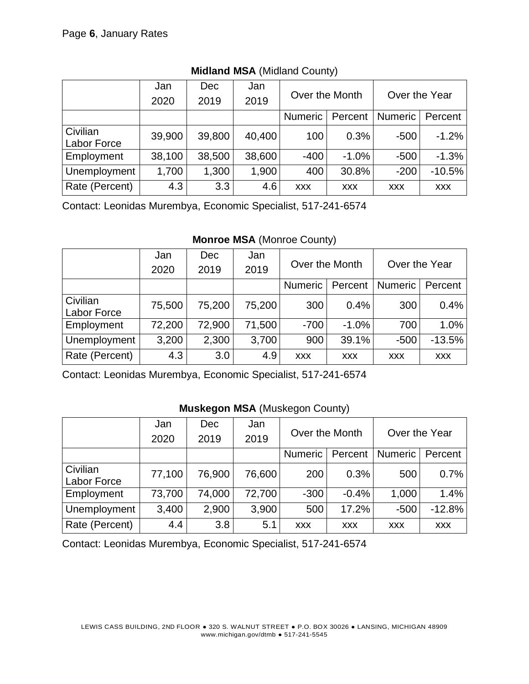|                | Jan    | <b>Dec</b> | Jan    | Over the Month |            | Over the Year  |            |
|----------------|--------|------------|--------|----------------|------------|----------------|------------|
|                | 2020   | 2019       | 2019   |                |            |                |            |
|                |        |            |        | <b>Numeric</b> | Percent    | <b>Numeric</b> | Percent    |
| Civilian       | 39,900 | 39,800     | 40,400 | 100            | 0.3%       | $-500$         | $-1.2%$    |
| Labor Force    |        |            |        |                |            |                |            |
| Employment     | 38,100 | 38,500     | 38,600 | $-400$         | $-1.0%$    | $-500$         | $-1.3%$    |
| Unemployment   | 1,700  | 1,300      | 1,900  | 400            | 30.8%      | $-200$         | $-10.5%$   |
| Rate (Percent) | 4.3    | 3.3        | 4.6    | <b>XXX</b>     | <b>XXX</b> | <b>XXX</b>     | <b>XXX</b> |

### **Midland MSA** (Midland County)

Contact: Leonidas Murembya, Economic Specialist, 517-241-6574

#### **Monroe MSA** (Monroe County)

|                                | Jan    | <b>Dec</b> | Jan    | Over the Month |            | Over the Year  |            |
|--------------------------------|--------|------------|--------|----------------|------------|----------------|------------|
|                                | 2020   | 2019       | 2019   |                |            |                |            |
|                                |        |            |        | <b>Numeric</b> | Percent    | <b>Numeric</b> | Percent    |
| Civilian<br><b>Labor Force</b> | 75,500 | 75,200     | 75,200 | 300            | 0.4%       | 300            | 0.4%       |
| Employment                     | 72,200 | 72,900     | 71,500 | $-700$         | $-1.0%$    | 700            | 1.0%       |
| Unemployment                   | 3,200  | 2,300      | 3,700  | 900            | 39.1%      | $-500$         | $-13.5%$   |
| Rate (Percent)                 | 4.3    | 3.0        | 4.9    | <b>XXX</b>     | <b>XXX</b> | <b>XXX</b>     | <b>XXX</b> |

Contact: Leonidas Murembya, Economic Specialist, 517-241-6574

#### **Muskegon MSA** (Muskegon County)

|                         | Jan    | <b>Dec</b> | Jan    | Over the Month |            | Over the Year  |            |
|-------------------------|--------|------------|--------|----------------|------------|----------------|------------|
|                         | 2020   | 2019       | 2019   |                |            |                |            |
|                         |        |            |        | <b>Numeric</b> | Percent    | <b>Numeric</b> | Percent    |
| Civilian<br>Labor Force | 77,100 | 76,900     | 76,600 | 200            | 0.3%       | 500            | 0.7%       |
| Employment              | 73,700 | 74,000     | 72,700 | $-300$         | $-0.4%$    | 1,000          | 1.4%       |
| Unemployment            | 3,400  | 2,900      | 3,900  | 500            | 17.2%      | $-500$         | $-12.8%$   |
| Rate (Percent)          | 4.4    | 3.8        | 5.1    | <b>XXX</b>     | <b>XXX</b> | <b>XXX</b>     | <b>XXX</b> |

Contact: Leonidas Murembya, Economic Specialist, 517-241-6574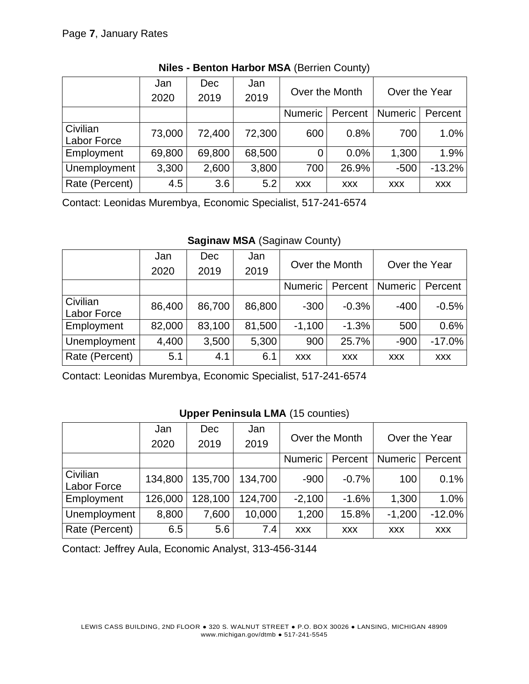|                | Jan    | <b>Dec</b> | Jan    | Over the Month |            | Over the Year  |            |  |
|----------------|--------|------------|--------|----------------|------------|----------------|------------|--|
|                | 2020   | 2019       | 2019   |                |            |                |            |  |
|                |        |            |        | <b>Numeric</b> | Percent    | <b>Numeric</b> | Percent    |  |
| Civilian       | 73,000 | 72,400     | 72,300 | 600            | 0.8%       | 700            | 1.0%       |  |
| Labor Force    |        |            |        |                |            |                |            |  |
| Employment     | 69,800 | 69,800     | 68,500 | $\overline{0}$ | 0.0%       | 1,300          | 1.9%       |  |
| Unemployment   | 3,300  | 2,600      | 3,800  | 700            | 26.9%      | $-500$         | $-13.2%$   |  |
| Rate (Percent) | 4.5    | 3.6        | 5.2    | <b>XXX</b>     | <b>XXX</b> | <b>XXX</b>     | <b>XXX</b> |  |

# **Niles - Benton Harbor MSA** (Berrien County)

Contact: Leonidas Murembya, Economic Specialist, 517-241-6574

**Saginaw MSA** (Saginaw County)

|                    | Jan    | <b>Dec</b> | Jan    | Over the Month |            | Over the Year  |            |  |
|--------------------|--------|------------|--------|----------------|------------|----------------|------------|--|
|                    | 2020   | 2019       | 2019   |                |            |                |            |  |
|                    |        |            |        | Numeric        | Percent    | <b>Numeric</b> | Percent    |  |
| Civilian           | 86,400 | 86,700     | 86,800 | $-300$         | $-0.3%$    | $-400$         | $-0.5%$    |  |
| <b>Labor Force</b> |        |            |        |                |            |                |            |  |
| Employment         | 82,000 | 83,100     | 81,500 | $-1,100$       | $-1.3%$    | 500            | 0.6%       |  |
| Unemployment       | 4,400  | 3,500      | 5,300  | 900            | 25.7%      | $-900$         | $-17.0%$   |  |
| Rate (Percent)     | 5.1    | 4.1        | 6.1    | <b>XXX</b>     | <b>XXX</b> | <b>XXX</b>     | <b>XXX</b> |  |

Contact: Leonidas Murembya, Economic Specialist, 517-241-6574

#### **Upper Peninsula LMA** (15 counties)

|                                | Jan     | <b>Dec</b> | Jan     | Over the Month |            | Over the Year  |            |
|--------------------------------|---------|------------|---------|----------------|------------|----------------|------------|
|                                | 2020    | 2019       | 2019    |                |            |                |            |
|                                |         |            |         | Numeric        | Percent    | <b>Numeric</b> | Percent    |
| Civilian<br><b>Labor Force</b> | 134,800 | 135,700    | 134,700 | $-900$         | $-0.7%$    | 100            | 0.1%       |
| Employment                     | 126,000 | 128,100    | 124,700 | $-2,100$       | $-1.6%$    | 1,300          | 1.0%       |
| Unemployment                   | 8,800   | 7,600      | 10,000  | 1,200          | 15.8%      | $-1,200$       | $-12.0%$   |
| Rate (Percent)                 | 6.5     | 5.6        | 7.4     | <b>XXX</b>     | <b>XXX</b> | <b>XXX</b>     | <b>XXX</b> |

Contact: Jeffrey Aula, Economic Analyst, 313-456-3144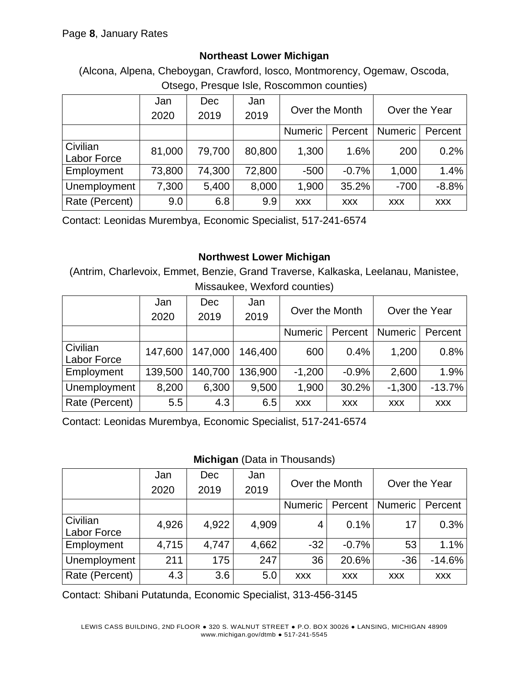### **Northeast Lower Michigan**

(Alcona, Alpena, Cheboygan, Crawford, Iosco, Montmorency, Ogemaw, Oscoda, Otsego, Presque Isle, Roscommon counties)

|                | Jan    | <b>Dec</b> | Jan    | Over the Month |            | Over the Year  |            |  |
|----------------|--------|------------|--------|----------------|------------|----------------|------------|--|
|                | 2020   | 2019       | 2019   |                |            |                |            |  |
|                |        |            |        | <b>Numeric</b> | Percent    | <b>Numeric</b> | Percent    |  |
| Civilian       | 81,000 | 79,700     | 80,800 | 1,300          | 1.6%       | 200            | 0.2%       |  |
| Labor Force    |        |            |        |                |            |                |            |  |
| Employment     | 73,800 | 74,300     | 72,800 | $-500$         | $-0.7%$    | 1,000          | 1.4%       |  |
| Unemployment   | 7,300  | 5,400      | 8,000  | 1,900          | 35.2%      | $-700$         | $-8.8%$    |  |
| Rate (Percent) | 9.0    | 6.8        | 9.9    | <b>XXX</b>     | <b>XXX</b> | <b>XXX</b>     | <b>XXX</b> |  |

Contact: Leonidas Murembya, Economic Specialist, 517-241-6574

# **Northwest Lower Michigan**

(Antrim, Charlevoix, Emmet, Benzie, Grand Traverse, Kalkaska, Leelanau, Manistee, Missaukee, Wexford counties)

|                                | Jan     | <b>Dec</b> | Jan     | Over the Month |            | Over the Year  |            |
|--------------------------------|---------|------------|---------|----------------|------------|----------------|------------|
|                                | 2020    | 2019       | 2019    |                |            |                |            |
|                                |         |            |         | <b>Numeric</b> | Percent    | <b>Numeric</b> | Percent    |
| Civilian<br><b>Labor Force</b> | 147,600 | 147,000    | 146,400 | 600            | 0.4%       | 1,200          | 0.8%       |
| Employment                     | 139,500 | 140,700    | 136,900 | $-1,200$       | $-0.9%$    | 2,600          | 1.9%       |
| Unemployment                   | 8,200   | 6,300      | 9,500   | 1,900          | 30.2%      | $-1,300$       | $-13.7%$   |
| Rate (Percent)                 | 5.5     | 4.3        | 6.5     | <b>XXX</b>     | <b>XXX</b> | <b>XXX</b>     | <b>XXX</b> |

Contact: Leonidas Murembya, Economic Specialist, 517-241-6574

#### **Michigan** (Data in Thousands)

|                | Jan<br>2020 | <b>Dec</b><br>2019 | Jan<br>2019 | Over the Month<br><b>Numeric</b><br>Percent |            | Over the Year             |            |
|----------------|-------------|--------------------|-------------|---------------------------------------------|------------|---------------------------|------------|
|                |             |                    |             |                                             |            | <b>Numeric</b><br>Percent |            |
|                |             |                    |             |                                             |            |                           |            |
| Civilian       | 4,926       | 4,922              | 4,909       | 4                                           | 0.1%       | 17                        | 0.3%       |
| Labor Force    |             |                    |             |                                             |            |                           |            |
| Employment     | 4,715       | 4,747              | 4,662       | $-32$                                       | $-0.7%$    | 53                        | 1.1%       |
| Unemployment   | 211         | 175                | 247         | 36                                          | 20.6%      | $-36$                     | $-14.6%$   |
| Rate (Percent) | 4.3         | 3.6                | 5.0         | <b>XXX</b>                                  | <b>XXX</b> | <b>XXX</b>                | <b>XXX</b> |

Contact: Shibani Putatunda, Economic Specialist, 313-456-3145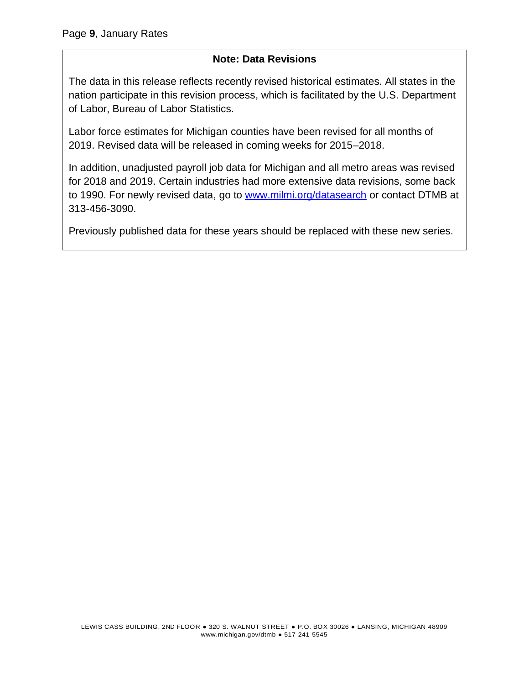### **Note: Data Revisions**

The data in this release reflects recently revised historical estimates. All states in the nation participate in this revision process, which is facilitated by the U.S. Department of Labor, Bureau of Labor Statistics.

Labor force estimates for Michigan counties have been revised for all months of 2019. Revised data will be released in coming weeks for 2015–2018.

In addition, unadjusted payroll job data for Michigan and all metro areas was revised for 2018 and 2019. Certain industries had more extensive data revisions, some back to 1990. For newly revised data, go to [www.milmi.org/datasearch](http://www.milmi.org/datasearch) or contact DTMB at 313-456-3090.

Previously published data for these years should be replaced with these new series.